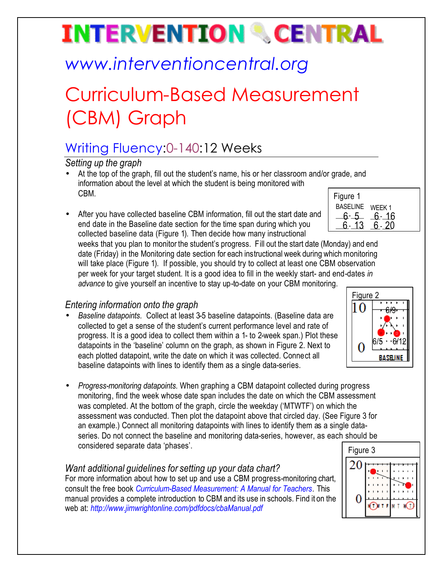# **INTERVENTION & CENTRAL**

## *www.interventioncentral.org*

## Curriculum-Based Measurement (CBM) Graph

### Writing Fluency:0-140:12 Weeks

*Setting up the graph*

- At the top of the graph, fill out the student's name, his or her classroom and/or grade, and information about the level at which the student is being monitored with CBM.
- After you have collected baseline CBM information, fill out the start date and end date in the Baseline date section for the time span during which you collected baseline data (Figure 1). Then decide how many instructional

| Figure 1        |        |
|-----------------|--------|
| <b>BASELINE</b> | WEEK 1 |
| ճ- 5            | 6- 16  |
|                 | -20    |
|                 |        |

weeks that you plan to monitor the student's progress. Fill out the start date (Monday) and end date (Friday) in the Monitoring date section for each instructional week during which monitoring will take place (Figure 1). If possible, you should try to collect at least one CBM observation per week for your target student. It is a good idea to fill in the weekly start- and end-dates *in advance* to give yourself an incentive to stay up-to-date on your CBM monitoring.

### *Entering information onto the graph*

- *Baseline datapoints*. Collect at least 3-5 baseline datapoints. (Baseline data are collected to get a sense of the student's current performance level and rate of progress. It is a good idea to collect them within a 1- to 2-week span.) Plot these datapoints in the 'baseline' column on the graph, as shown in Figure 2. Next to each plotted datapoint, write the date on which it was collected. Connect all baseline datapoints with lines to identify them as a single data-series.
- *Progress-monitoring datapoints*. When graphing a CBM datapoint collected during progress monitoring, find the week whose date span includes the date on which the CBM assessment was completed. At the bottom of the graph, circle the weekday ('MTWTF') on which the assessment was conducted. Then plot the datapoint above that circled day. (See Figure 3 for an example.) Connect all monitoring datapoints with lines to identify them as a single dataseries. Do not connect the baseline and monitoring data-series, however, as each should be considered separate data 'phases'.

#### *Want additional guidelines for setting up your data chart?*

For more information about how to set up and use a CBM progress-monitoring chart, consult the free book *Curriculum-Based Measurement: A Manual for Teachers.* This manual provides a complete introduction to CBM and its use in schools. Find it on the web at: *http://www.jimwrightonline.com/pdfdocs/cbaManual.pdf*